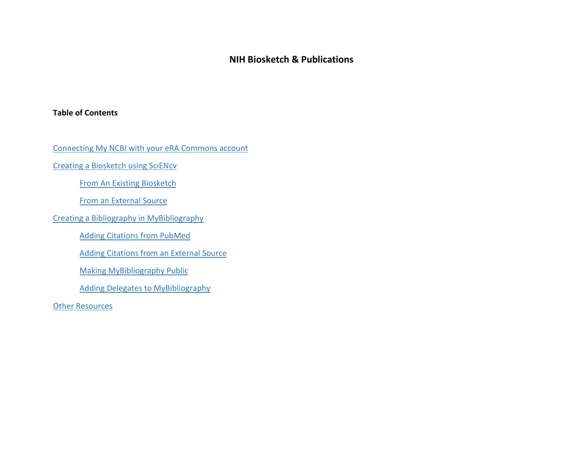# **NIH Biosketch & Publications**

# <span id="page-0-0"></span>**Table of Contents**

[Connecting My NCBI with your eRA Commons account](#page-1-0)

[Creating a Biosketch using SciENcv](#page-1-1)

[From An Existing Biosketch](#page-2-0)

[From an External Source](#page-2-1)

[Creating a Bibliography in MyBibliography](#page-2-2)

[Adding Citations from PubMed](#page-3-0)

[Adding Citations from an External Source](#page-3-1)

[Making MyBibliography Public](#page-4-0)

[Adding Delegates to MyBibliography](#page-4-1)

**[Other Resources](#page-4-2)**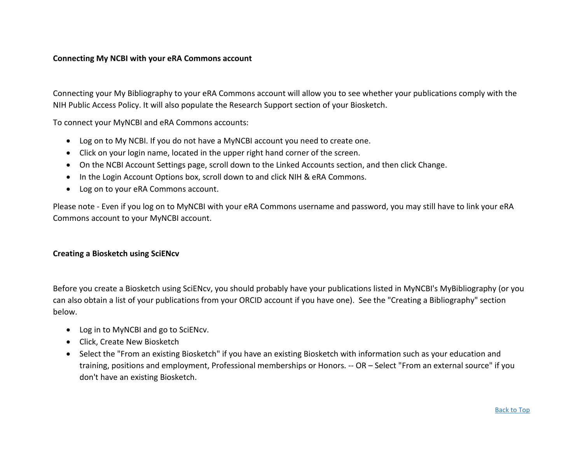#### <span id="page-1-0"></span>**Connecting My NCBI with your eRA Commons account**

Connecting your My Bibliography to your eRA Commons account will allow you to see whether your publications comply with the NIH Public Access Policy. It will also populate the Research Support section of your Biosketch.

To connect your MyNCBI and eRA Commons accounts:

- Log on to My NCBI. If you do not have a MyNCBI account you need to create one.
- Click on your login name, located in the upper right hand corner of the screen.
- On the NCBI Account Settings page, scroll down to the Linked Accounts section, and then click Change.
- In the Login Account Options box, scroll down to and click NIH & eRA Commons.
- Log on to your eRA Commons account.

Please note - Even if you log on to MyNCBI with your eRA Commons username and password, you may still have to link your eRA Commons account to your MyNCBI account.

#### <span id="page-1-1"></span>**Creating a Biosketch using SciENcv**

Before you create a Biosketch using SciENcv, you should probably have your publications listed in MyNCBI's MyBibliography (or you can also obtain a list of your publications from your ORCID account if you have one). See the "Creating a Bibliography" section below.

- Log in to MyNCBI and go to SciENcv.
- Click, Create New Biosketch
- Select the "From an existing Biosketch" if you have an existing Biosketch with information such as your education and training, positions and employment, Professional memberships or Honors. -- OR – Select "From an external source" if you don't have an existing Biosketch.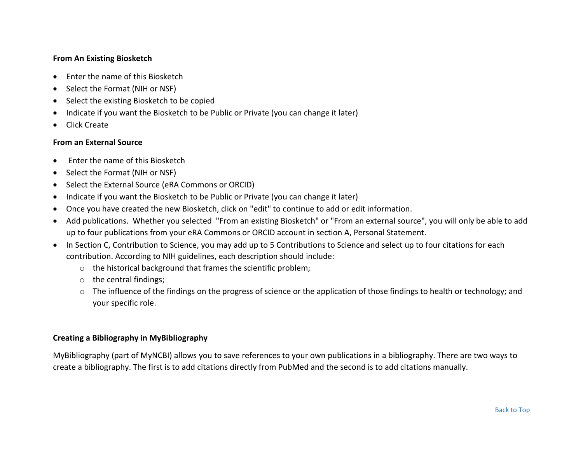# <span id="page-2-0"></span>**From An Existing Biosketch**

- Enter the name of this Biosketch
- Select the Format (NIH or NSF)
- Select the existing Biosketch to be copied
- Indicate if you want the Biosketch to be Public or Private (you can change it later)
- Click Create

## <span id="page-2-1"></span>**From an External Source**

- Enter the name of this Biosketch
- Select the Format (NIH or NSF)
- Select the External Source (eRA Commons or ORCID)
- Indicate if you want the Biosketch to be Public or Private (you can change it later)
- Once you have created the new Biosketch, click on "edit" to continue to add or edit information.
- Add publications. Whether you selected "From an existing Biosketch" or "From an external source", you will only be able to add up to four publications from your eRA Commons or ORCID account in section A, Personal Statement.
- In Section C, Contribution to Science, you may add up to 5 Contributions to Science and select up to four citations for each contribution. According to NIH guidelines, each description should include:
	- o the historical background that frames the scientific problem;
	- o the central findings;
	- o The influence of the findings on the progress of science or the application of those findings to health or technology; and your specific role.

#### <span id="page-2-2"></span>**Creating a Bibliography in MyBibliography**

MyBibliography (part of MyNCBI) allows you to save references to your own publications in a bibliography. There are two ways to create a bibliography. The first is to add citations directly from PubMed and the second is to add citations manually.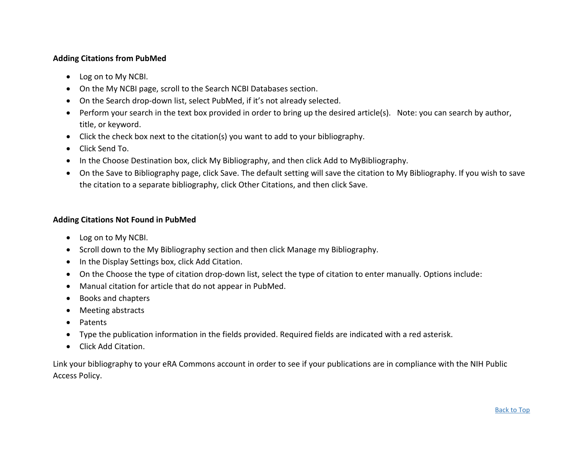# <span id="page-3-0"></span>**Adding Citations from PubMed**

- Log on to My NCBI.
- On the My NCBI page, scroll to the Search NCBI Databases section.
- On the Search drop-down list, select PubMed, if it's not already selected.
- Perform your search in the text box provided in order to bring up the desired article(s). Note: you can search by author, title, or keyword.
- Click the check box next to the citation(s) you want to add to your bibliography.
- Click Send To.
- In the Choose Destination box, click My Bibliography, and then click Add to MyBibliography.
- On the Save to Bibliography page, click Save. The default setting will save the citation to My Bibliography. If you wish to save the citation to a separate bibliography, click Other Citations, and then click Save.

#### <span id="page-3-1"></span>**Adding Citations Not Found in PubMed**

- Log on to My NCBI.
- Scroll down to the My Bibliography section and then click Manage my Bibliography.
- In the Display Settings box, click Add Citation.
- On the Choose the type of citation drop-down list, select the type of citation to enter manually. Options include:
- Manual citation for article that do not appear in PubMed.
- Books and chapters
- Meeting abstracts
- Patents
- Type the publication information in the fields provided. Required fields are indicated with a red asterisk.
- Click Add Citation.

Link your bibliography to your eRA Commons account in order to see if your publications are in compliance with the NIH Public Access Policy.